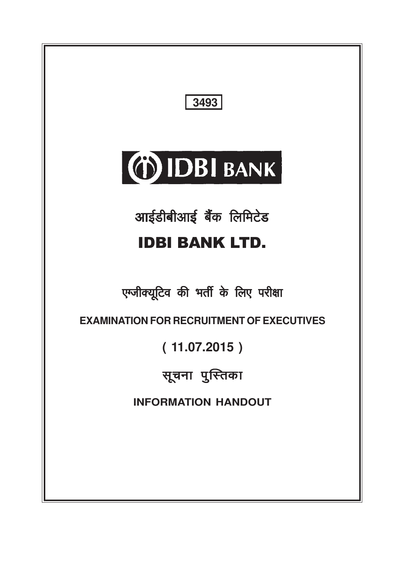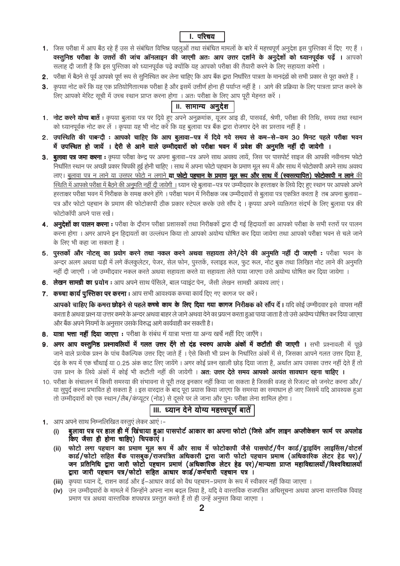### **I.** परिचय

- 1. जिस परीक्षा में आप बैठ रहे हैं उस से संबंधित विभिन्न पहलूओं तथा संबंधित मामलों के बारे में महत्त्वपूर्ण अनूदेश इस पुस्तिका में दिए गए हैं । वस्तुनिष्ठ परीक्षा के उत्तरों की जांच ऑनलाइन की जाएगी अतः आप उत्तर दर्शाने के अनुदेशों को ध्यानपूर्वक पढ़ें । आपको सलाह दी जाती है कि इस पुस्तिका को ध्यानपूर्वक पढ़े क्योंकि यह आपको परीक्षा की तैयारी करने के लिए सहायता करेगी
- 2. परीक्षा में बैठने से पूर्व आपको पूर्ण रूप से सुनिश्चित कर लेना चाहिए कि आप बैंक द्वारा निर्धारित पात्रता के मानदंडों को सभी प्रकार से पूरा करते हैं ।
- 3. कृपया नोट करें कि यह एक प्रतियोगितात्मक परीक्षा है और इसमें उत्तीर्ण होना ही पर्याप्त नहीं है । आगे की प्रक्रिया के लिए पात्रता प्राप्त करने के लिए आपको मेरिट सूची में उच्च स्थान प्राप्त करना होगा । अतः परीक्षा के लिए आप पूरी मेहनत करें ।

### ॥. सामान्य अनुदेश

- 1. नोट करने योग्य बातें : कृपया बूलावा पत्र पर दिये हुए अपने अनूक्रमांक, यूजर आइ डी, पासवर्ड, श्रेणी, परीक्षा की तिथि, समय तथा स्थान को ध्यानपूर्वक नोट कर लें । कृपया यह भी नोट करें कि यह बुलावा पत्र बैंक द्वारा रोजगार देने का प्रस्ताव नहीं है ।
- 2. उपस्थिति की पाबन्दी : आपको चाहिए कि आप बलावा-पत्र में दिये गये समय से कम-से-कम 30 मिनट पहले परीक्षा भवन में उपस्थित हो जायें । देरी से आने वाले उम्मीदवारों को परीक्षा भवन में प्रवेश की अनुमति नहीं दी जायेगी ।
- 3. बुलावा पत्र जमा करना : कृपया परीक्षा केन्द्र पर अपना बुलावा–पत्र अपने साथ अवश्य लायें, जिस पर पासपोर्ट साइज की आपकी नवीनतम फोटो निर्धारित स्थान पर अच्छी प्रकार चिपकी हुई होनी चाहिए । साथ में अपना फोटो पहचान के प्रमाण मूल रूप में और साथ में फोटोकापी अपने साथ अवश्य लाए। बलावा पत्र न लाने या उसपर फोटो न लगाने **या फोटो पहचान के प्रमाण मल रूप और साथ में (स्वसत्यापित) फोटोकापी न लाने** की स्थिति में आपको परीक्षा में बैठने की अनूमति नहीं दी जायेगी । ध्यान रहे बूलावा–पत्र पर उम्मीदवार के हरताक्षर के लिये दिए हुए स्थान पर आपको अपने हस्ताक्षर परीक्षा भवन में निरीक्षक के समक्ष करने होंगे । परीक्षा भवन में निरीक्षक जब उम्मीदवारों से बुलावा पत्र एकत्रित करता है तब अपना बुलावा– पत्र और फोटो पहचान के प्रमाण की फोटोकापी ठीक प्रकार स्टेपल करके उसे सौंप दे । कृपया अपने व्यक्तिगत संदर्भ के लिए बुलावा पत्र की फोटोकॉपी अपने पास रखें।
- 4. अन्**देशों का पालन करना :** परीक्षा के दौरान परीक्षा प्रशासकों तथा निरीक्षकों द्वारा दी गई हिदायतों का आपको परीक्षा के सभी स्तरों पर पालन करना होगा । अगर आपने इन हिदायतों का उल्लंघन किया तो आपको अयोग्य घोषित कर दिया जायेगा तथा आपको परीक्षा भवन से चले जाने के लिए भी कहा जा सकता है ।
- 5. पुस्तकों और नोटस् का प्रयोग करने तथा नकल करने अथवा सहायता लेने/देने की अनूमति नहीं दी जाएगी : परीक्षा भवन के .<br>अन्दर अलग अथवा घड़ी में लगे कॅलकूलेटर, पेजर, सेल फोन, पूस्तकें, स्लाइड रूल, फूट रूल, नोट बूक तथा लिखित नोट लाने की अनुमति नहीं दी जाएगी । जो उम्मीदवार नकल करते अथवा सहायता करते या सहायता लेते पाया जाएगा उसे अयोग्य घोषित कर दिया जायेगा ।
- 6. लेखन सामग्री का प्रयोग: आप अपने साथ पेंसिले, बाल प्वाइंट पेन, जैसी लेखन सामग्री अवश्य लाएं।
- 7. कच्चा कार्य पुस्तिका पर करना : आप सभी आवश्यक कच्चा कार्य दिए गए कागज पर करें।
	- आपको चाहिए कि कमरा छोड़ने से पहले कच्चे काम के लिए दिया गया कागज निरीक्षक को सौंप दें। यदि कोई उम्मीदवार इसे वापस नहीं करता है अथवा प्रश्न या उत्तर कमरे के अन्दर अथवा बाहर ले जाने अथवा देने का प्रयत्न करता हुआ पाया जाता है तो उसे अयोग्य घोषित कर दिया जाएगा और बैंक अपने नियमों के अनुसार उसके विरुद्ध आगे कार्यवाही कर सकती है।
- 8. यात्रा भत्ता नहीं दिया जाएगा : परीक्षा के संबंध में यात्रा भत्ता या अन्य खर्चे नहीं दिए जाएँगे।
- 9. अगर आप वस्तुनिष्ठ प्रश्नावलियों में गलत उत्तर देंगे तो दंड स्वरुप आपके अंकों में कटौती की जाएगी । सभी प्रश्नावली में पूछे जाने वाले प्रत्येक प्रश्न के पांच वैकल्पिक उत्तर दिए जाते हैं । ऐसे किसी भी प्रश्न के निर्धारित अंकों में से, जिसका आपने गलत उत्तर दिया है, दंड के रूप में एक चौथाई या 0.25 अंक काट लिए जायेंगे। अगर कोई प्रश्न खाली छोड़ दिया जाता है, अर्थात आप उसका उत्तर नहीं देते हैं तो उस प्रश्न के लिये अंकों में कोई भी कटौती नहीं की जायेगी । **अत: उत्तर देते समय आपको अत्यंत सावधान रहना चाहिए ।**
- 10. परीक्षा के संचालन में किसी समस्या की संभावना से पूरी तरह इनकार नहीं किया जा सकता है जिसकी वजह से रिजल्ट को जनरेट करना और/ या सुपुर्द करना प्रभावित हो सकता है । इस वारदात के बाद पूरा प्रयास किया जाएगा कि समस्या का समाधान हो जाए जिसमें यदि आवश्यक हुआ तो उम्मीदवारों को एक स्थान/लैब/कप्यूटर (नोड) से दूसरे पर ले जाना और पुनः परीक्षा लेना शामिल होगा ।

## ।।।. ध्यान देने योग्य महत्त्वपूर्ण बातें

- 1. आप अपने साथ निम्नलिखित वस्तुएं लेकर आएं :-
	- बुलावा पत्र पर हाल ही में खिंचाया हुआ पासपोर्ट आकार का अपना फोटो (जिसे ऑन लाइन अप्लीकेशन फार्म पर अपलोड  $(i)$ किए जैसा ही होना चाहिए) चिपकाएं ।
	- फोटो लगा पहचान का प्रमाण मूल रूप में और साथ में फोटोकापी जैसे पासपोर्ट/पैन कार्ड/ड्राइविंग लाइसिंस/वोटर्स  $(ii)$ कार्ड/फोटो सहित बैंक पासबुक/राजपत्रित अधिकारी द्वारा जारी फोटो पहचान प्रमाण (अधिकारिक लेटर हेड पर)/<br>जन प्रतिनिधि द्वारा जारी फोटो पहचान प्रमाण (अधिकारिक लेटर हेड पर)/मान्यता प्राप्त महाविद्यालयों/विश्वविद्यालयो द्वारा जारी पहचान पत्र/फोटो सहित आधार कार्ड/कर्मचारी पहचान पत्र ।
	- (iii) कृपया ध्यान दें, राशन कार्ड और ई–आधार कार्ड को वैध पहचान–प्रमाण के रूप में स्वीकार नहीं किया जाएगा ।
	- (iv) उन उम्मीदवारों के मामले में जिन्होंने अपना नाम बदल लिया है. यदि वे वास्तविक राजपत्रित अधिसचना अथवा अपना वास्तविक विवाह प्रमाण पत्र अथवा वास्तविक शपथपत्र प्रस्तुत करते हैं तो ही उन्हें अनुमत किया जाएगा ।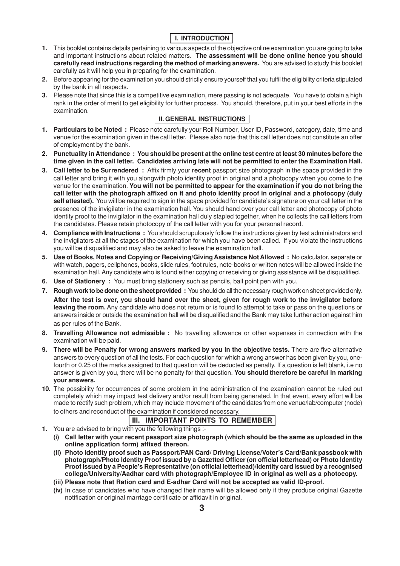# **I. INTRODUCTION**

- **1.** This booklet contains details pertaining to various aspects of the objective online examination you are going to take and important instructions about related matters. **The assessment will be done online hence you should carefully read instructions regarding the method of marking answers.** You are advised to study this booklet carefully as it will help you in preparing for the examination.
- **2.** Before appearing for the examination you should strictly ensure yourself that you fulfil the eligibility criteria stipulated by the bank in all respects.
- **3.** Please note that since this is a competitive examination, mere passing is not adequate. You have to obtain a high rank in the order of merit to get eligibility for further process. You should, therefore, put in your best efforts in the examination.

## **II. GENERAL INSTRUCTIONS**

- **1. Particulars to be Noted :** Please note carefully your Roll Number, User ID, Password, category, date, time and venue for the examination given in the call letter. Please also note that this call letter does not constitute an offer of employment by the bank.
- **2. Punctuality in Attendance : You should be present at the online test centre at least 30 minutes before the time given in the call letter. Candidates arriving late will not be permitted to enter the Examination Hall.**
- **3. Call letter to be Surrendered :** Affix firmly your **recent** passport size photograph in the space provided in the call letter and bring it with you alongwith photo identity proof in original and a photocopy when you come to the venue for the examination. **You will not be permitted to appear for the examination if you do not bring the call letter with the photograph affixed on it and photo identity proof in original and a photocopy (duly** self attested). You will be required to sign in the space provided for candidate's signature on your call letter in the presence of the invigilator in the examination hall. You should hand over your call letter and photocopy of photo identity proof to the invigilator in the examination hall duly stapled together, when he collects the call letters from the candidates. Please retain photocopy of the call letter with you for your personal record.
- **4. Compliance with Instructions :** You should scrupulously follow the instructions given by test administrators and the invigilators at all the stages of the examination for which you have been called. If you violate the instructions you will be disqualified and may also be asked to leave the examination hall.
- **5. Use of Books, Notes and Copying or Receiving/Giving Assistance Not Allowed :** No calculator, separate or with watch, pagers, cellphones, books, slide rules, foot rules, note-books or written notes will be allowed inside the examination hall. Any candidate who is found either copying or receiving or giving assistance will be disqualified.
- **6. Use of Stationery :** You must bring stationery such as pencils, ball point pen with you.
- **7. Rough work to be done on the sheet provided :** You should do all the necessary rough work on sheet provided only. **After the test is over, you should hand over the sheet, given for rough work to the invigilator before leaving the room.** Any candidate who does not return or is found to attempt to take or pass on the questions or answers inside or outside the examination hall will be disqualified and the Bank may take further action against him as per rules of the Bank.
- **8. Travelling Allowance not admissible :** No travelling allowance or other expenses in connection with the examination will be paid.
- **9. There will be Penalty for wrong answers marked by you in the objective tests.** There are five alternative answers to every question of all the tests. For each question for which a wrong answer has been given by you, onefourth or 0.25 of the marks assigned to that question will be deducted as penalty. If a question is left blank, i.e no answer is given by you, there will be no penalty for that question. **You should therefore be careful in marking your answers.**
- **10.** The possibility for occurrences of some problem in the administration of the examination cannot be ruled out completely which may impact test delivery and/or result from being generated. In that event, every effort will be made to rectify such problem, which may include movement of the candidates from one venue/lab/computer (node) to others and reconduct of the examination if considered necessary.

## **III. IMPORTANT POINTS TO REMEMBER**

- **1.** You are advised to bring with you the following things :-
	- **(i) Call letter with your recent passport size photograph (which should be the same as uploaded in the online application form) affixed thereon.**
	- **(ii) Photo identity proof such as Passport/PAN Card/ Driving License/Voter's Card/Bank passbook with photograph/Photo Identity Proof issued by a Gazetted Officer (on official letterhead) or Photo Identity Proof issued by a People's Representative (on official letterhead)/Identity card issued by a recognised college/University/Aadhar card with photograph/Employee ID in original as well as a photocopy.**
	- **(iii) Please note that Ration card and E-adhar Card will not be accepted as valid ID-proof.**
	- **(iv)** In case of candidates who have changed their name will be allowed only if they produce original Gazette notification or original marriage certificate or affidavit in original.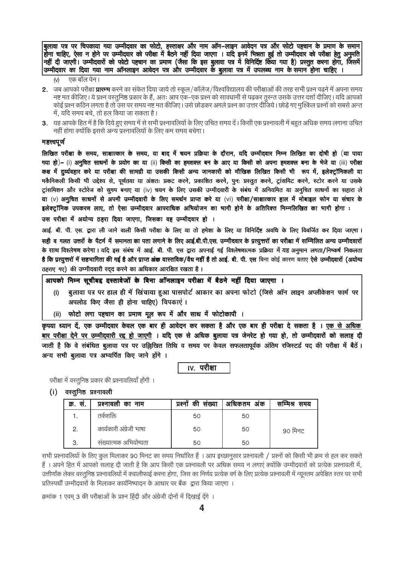बुलावा पत्र पर चिपकाया गया उम्मीदवार का फोटो, हस्ताक्षर और नाम ऑन–लाइन आवेदन पत्र और फोटो पहचान के प्रमाण के समान होना चाहिए, ऐसा न होने पर उम्मीदवार को परीक्षा में बैठने नहीं दिया जाएगा । यदि इनमें भिन्नता हुई तो उम्मीदवार को परीक्षा हेतू अनूमति नहीं दी जाएगी। उम्मीदवारों को फोटो पहचान का प्रमाण (जैसा कि इस बुलावा पत्र में विनिर्दिष्ट किँया गया है) प्रस्तुत करना होगा, जिसमें| उम्मीदवार का दिया गया नाम ऑनलाइन आवेदन पत्र और उम्मीदवार के बुलावा पत्र में उपलब्ध नाम के समान होना चाहिए ।

- एक बॉल पेन।  $(v)$
- 2. जब आपको परीक्षा **प्रारम्भ** करने का संकेत दिया जाये तो स्कूल/कॉलेज/विश्वविद्यालय की परीक्षाओं की तरह सभी प्रश्न पढ़ने में अपना समय नष्ट मत कीजिए। ये प्रश्न वस्तुनिष्ठ प्रकार के हैं, अतः आप एक-एक प्रश्न को सावधानी से पढ़कर तुरन्त उसके उत्तर दर्शा दीजिए। यदि आपको कोई प्रश्न कठिन लगता है तो उस पर समय नष्ट मत कीजिए। उसे छोड़कर अगले प्रश्न का उत्तर दीजिये। छोड़े गए मुश्किल प्रश्नों को सबसे अन्त में, यदि समय बचे, तो हल किया जा सकता है।
- 3. यह आपके हित में है कि दिये हए समय में से सभी प्रश्नावलियों के लिए उचित समय दें। किसी एक प्रश्नावली में बहत अधिक समय लगाना उचित नहीं होगा क्योंकि इससे अन्य प्रश्नावलियों के लिए कम समय बचेगा।

#### महत्त्वपूर्ण

लिखित परीक्षा के समय, साक्षात्कार के समय, या बाद में चयन प्रक्रिया के दौरान, यदि उम्मीदवार निम्न लिखित का दोषी हो (या पाया गया हो)– (i) अनुचित साधनों के प्रयोग का या (ii) किसी का हमशक्ल बन के आए या किसी को अपना हमशक्ल बना के भेजे या (iii) परीक्षा कक्ष में दुर्व्यवहार करे या परीक्षा की सामग्री या उसकी किसी अन्य जानकारी को मौखिक लिखित किसी भी रूप में, इलेक्ट्रॉनिकली या मकैनिकली किसी भी उद्देश्य से, पूर्णतया या अंशतः प्रकट करने, प्रकाशित करने, पुनः प्रस्तुत करने, ट्रांसमिट करने, स्टोर करने या उसके ट्रांसमिशन और स्टोरेज को सुगम बनाए या (iv) चयन के लिए उसकी उम्मीदवारी के संबंध में अनियमित या अनुचित साधनों का सहारा ले या (v) अनुचित साधनों से अपनी उम्मीदवारी के लिए समर्थन प्राप्त करे या (vi) परीक्षा/साक्षात्कार हाल में मोबाइल फोन या संचार के इलेक्ट्रॉनिक उपकरण लाए, तो ऐसा उम्मीदवार आपराधिक अभियोजन का भागी होने के अतिरिक्त निम्नलिखित का भागी होगा :

उस परीक्षा में अयोग्य ठहरा दिया जाएगा, जिसका वह उम्मीदवार हो ।

आई. बी. पी. एस. द्वारा ली जाने वाली किसी परीक्षा के लिए या तो हमेशा के लिए या विनिर्दिष्ट अवधि के लिए विवर्जित कर दिया जाएगा। सही व गलत उत्तरों के पैटर्न में समानता का पता लगाने के लिए आई.बी.पी.एस. उम्मीदवार के प्रत्यूत्तरों का परीक्षा में सम्मिलित अन्य उम्मीदवारों के साथ विश्लेषण करेगा। यदि इस संबंध में आई. बी. पी. एस द्वारा अपनाई गई विश्लेषणात्मक प्रक्रिया में यह अनुमान लगता/निष्कर्ष निकलता है कि प्रत्युत्तरों में सहभागिता की गई है और प्राप्त अंक वास्तविक/वैध नहीं है तो आई. बी. पी. एस बिना कोई कारण बताए ऐसे उम्मीदवारों (अयोग्य ठहराए गए) की उम्मीदवारी रदद करने का अधिकार आरक्षित रखता है।

### आपको निम्न सुचीबद्द दस्तावेजों के बिना ऑनलाइन परीक्षा में बैठने नहीं दिया जाएगा ।

- बूलावा पत्र पर हाल ही में खिंचाया हुआ पासपोर्ट आकार का अपना फोटो (जिसे ऑन लाइन अप्लीकेशन फार्म पर  $(i)$ अपलोड किए जैसा ही होना चाहिए) चिपकाएं ।
- (ii) फोटो लगा पहचान का प्रमाण मूल रूप में और साथ में फोटोकापी ।

कृपया ध्यान दें, एक उम्मीदवार केवल एक बार ही आवेदन कर सकता है और एक बार ही परीक्षा दे सकता है । एक से अधिक बार परीक्षा देने पर उम्मीदवारी रद्द हो जाएगी । यदि एक से अधिक बुलावा पत्र जेनरेट हो गया हो, तो उम्मीदवारों को सलाह दी जाती है कि वे संबंधित बुलावा पत्र पर उल्लिखित तिथि व समय पर केवल सफलतापूर्वक अंतिम रजिस्टर्ड पद की परीक्षा में बैठें। अन्य सभी बूलावा पत्र अभ्यर्पित किए जाने होंगे ।

<u>iv.</u> परीक्षा

परीक्षा में वस्तुनिष्ठ प्रकार की प्रश्नावलियाँ होंगी ।

(i) वस्तुनिष्ठ प्रश्नावली

| <i>क्र.</i> स. | प्रश्नावली का नाम       | संख्या<br>की<br>प्रश्नो | अधिकतम अंक | सम्मिश्र समय |
|----------------|-------------------------|-------------------------|------------|--------------|
|                | तकेशक्ति                | 50                      | 50         |              |
| 2              | कार्यकारी अंग्रेजी भाषा | 50                      | 50         | 90 मिनट      |
|                | संख्यात्मक अभियोग्यता   | 50                      | 50         |              |

सभी प्रश्नावलियों के लिए कूल मिलाकर 90 मिनट का समय निर्धारित हैं । आप इच्छानुसार प्रश्नावली / प्रश्नों को किसी भी क्रम से हल कर सकते हैं। अपने हित में आपको सलाह दी जाती है कि आप किसी एक प्रश्नावली पर अधिक समय न लगाएं क्योंकि उम्मीदवारों को प्रत्येक प्रश्नावली में, उत्तीर्णांक लेकर वस्तुनिष्ठ प्रश्नावलियों में क्वालीफाई करना होगा, जिस का निर्णय प्रत्येक वर्ग के लिए प्रत्येक प्रश्नावली में न्यूनतम अपेक्षित स्तर पर सभी प्रतिस्पर्धी उम्मीदवारों के मिलाकर कार्यनिष्पादन के आधार पर बैंक) द्वारा किया जाएगा ।

क्रमांक 1 एवम 3 की परीक्षाओं के प्रश्न हिंदी और अंग्रेजी दोनों में दिखाई देंगे ।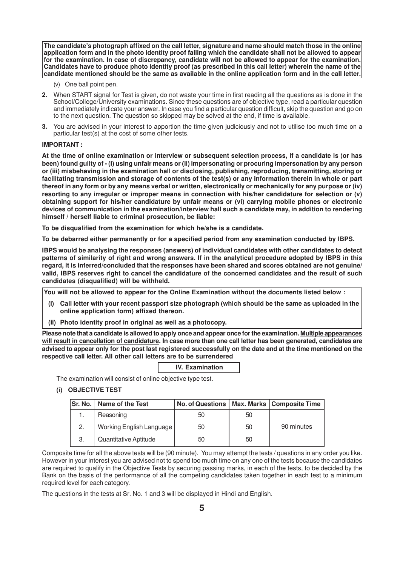**The candidate's photograph affixed on the call letter, signature and name should match those in the online application form and in the photo identity proof failing which the candidate shall not be allowed to appear for the examination. In case of discrepancy, candidate will not be allowed to appear for the examination. Candidates have to produce photo identity proof (as prescribed in this call letter) wherein the name of the candidate mentioned should be the same as available in the online application form and in the call letter.**

- (v) One ball point pen.
- **2.** When START signal for Test is given, do not waste your time in first reading all the questions as is done in the School/College/University examinations. Since these questions are of objective type, read a particular question and immediately indicate your answer. In case you find a particular question difficult, skip the question and go on to the next question. The question so skipped may be solved at the end, if time is available.
- **3.** You are advised in your interest to apportion the time given judiciously and not to utilise too much time on a particular test(s) at the cost of some other tests.

#### **IMPORTANT :**

**At the time of online examination or interview or subsequent selection process, if a candidate is (or has been) found guilty of - (i) using unfair means or (ii) impersonating or procuring impersonation by any person or (iii) misbehaving in the examination hall or disclosing, publishing, reproducing, transmitting, storing or facilitating transmission and storage of contents of the test(s) or any information therein in whole or part thereof in any form or by any means verbal or written, electronically or mechanically for any purpose or (iv) resorting to any irregular or improper means in connection with his/her candidature for selection or (v) obtaining support for his/her candidature by unfair means or (vi) carrying mobile phones or electronic devices of communication in the examination/interview hall such a candidate may, in addition to rendering himself / herself liable to criminal prosecution, be liable:**

**To be disqualified from the examination for which he/she is a candidate.**

**To be debarred either permanently or for a specified period from any examination conducted by IBPS.**

**IBPS would be analysing the responses (answers) of individual candidates with other candidates to detect patterns of similarity of right and wrong answers. If in the analytical procedure adopted by IBPS in this regard, it is inferred/concluded that the responses have been shared and scores obtained are not genuine/ valid, IBPS reserves right to cancel the candidature of the concerned candidates and the result of such candidates (disqualified) will be withheld.**

 **You will not be allowed to appear for the Online Examination without the documents listed below :**

- **(i) Call letter with your recent passport size photograph (which should be the same as uploaded in the online application form) affixed thereon.**
- **(ii) Photo identity proof in original as well as a photocopy.**

**Please note that a candidate is allowed to apply once and appear once for the examination. Multiple appearances will result in cancellation of candidature. In case more than one call letter has been generated, candidates are advised to appear only for the post last registered successfully on the date and at the time mentioned on the respective call letter. All other call letters are to be surrendered**

| <b>IV.</b> Examination |
|------------------------|
|                        |

The examination will consist of online objective type test.

#### **(i) OBJECTIVE TEST**

| lSr. No. I | Name of the Test         | No. of Questions   Max. Marks   Composite Time |    |            |
|------------|--------------------------|------------------------------------------------|----|------------|
|            | Reasoning                | 50                                             | 50 |            |
| 2.         | Working English Language | 50                                             | 50 | 90 minutes |
| 3.         | Quantitative Aptitude    | 50                                             | 50 |            |

Composite time for all the above tests will be (90 minute). You may attempt the tests / questions in any order you like. However in your interest you are advised not to spend too much time on any one of the tests because the candidates are required to qualify in the Objective Tests by securing passing marks, in each of the tests, to be decided by the Bank on the basis of the performance of all the competing candidates taken together in each test to a minimum required level for each category.

The questions in the tests at Sr. No. 1 and 3 will be displayed in Hindi and English.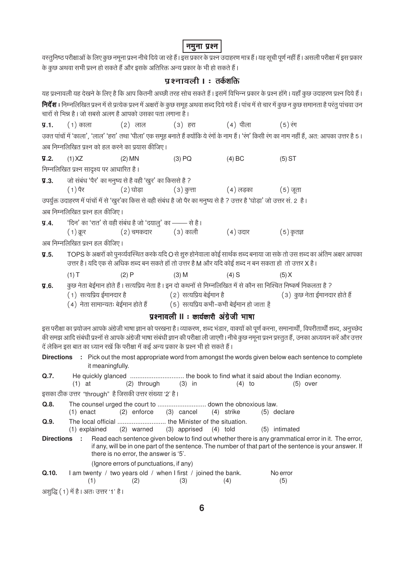# <mark>नमुना प्रश्न</mark> |

|                   |                                         |                                                                                         | प्रश्नावली । : तर्कशक्ति                |                                                                                                                              |                                                                                                                                                                                                                                                                                                   |  |
|-------------------|-----------------------------------------|-----------------------------------------------------------------------------------------|-----------------------------------------|------------------------------------------------------------------------------------------------------------------------------|---------------------------------------------------------------------------------------------------------------------------------------------------------------------------------------------------------------------------------------------------------------------------------------------------|--|
|                   |                                         |                                                                                         |                                         |                                                                                                                              | यह प्रश्नावली यह देखने के लिए है कि आप कितनी अच्छी तरह सोच सकते हैं । इसमें विभिन्न प्रकार के प्रश्न होंगे । यहाँ कुछ उदाहरण प्रश्न दिये हैं ।                                                                                                                                                    |  |
|                   |                                         |                                                                                         |                                         |                                                                                                                              | <b>निर्देश :</b> निम्नलिखित प्रश्न में से प्रत्येक प्रश्न में अक्षरों के कुछ समूह अथवा शब्द दिये गये हैं। पांच में से चार में कुछ न कुछ समानता है परंतु पांचवा उन                                                                                                                                 |  |
|                   |                                         | चारों से भिन्न है । जो सबसे अलग है आपको उसका पता लगाना है ।                             |                                         |                                                                                                                              |                                                                                                                                                                                                                                                                                                   |  |
|                   |                                         |                                                                                         |                                         | <b>प्र.1.</b> (1)काला     (2) लाल     (3) हरा      (4) पीला     (5) रंग                                                      |                                                                                                                                                                                                                                                                                                   |  |
|                   |                                         |                                                                                         |                                         |                                                                                                                              | उक्त पांचों में 'काला', 'लाल' 'हरा' तथा 'पीला' एक समूह बनाते हैं क्योंकि ये रंगों के नाम हैं। 'रंग' किसी रंग का नाम नहीं हैं, अत: आपका उत्तर है 5।                                                                                                                                                |  |
|                   |                                         | अब निम्नलिखित प्रश्न को हल करने का प्रयास कीजिए।                                        |                                         |                                                                                                                              |                                                                                                                                                                                                                                                                                                   |  |
| У.2.              | $(1)$ XZ                                | $(2)$ MN                                                                                | $(3)$ PQ                                | (4) BC                                                                                                                       | $(5)$ ST                                                                                                                                                                                                                                                                                          |  |
|                   | निम्नलिखित प्रश्न सादृश्य पर आधारित है। |                                                                                         |                                         |                                                                                                                              |                                                                                                                                                                                                                                                                                                   |  |
| $\overline{9}.3.$ |                                         | जो संबंध 'पैर' का मनुष्य से है वही 'खुर' का किससे है ?                                  |                                         |                                                                                                                              |                                                                                                                                                                                                                                                                                                   |  |
|                   | ( 1 ) पैर                               |                                                                                         |                                         | (2) घोड़ा                 (3) कुत्ता               (4) लड़का            (5) जूता                                             |                                                                                                                                                                                                                                                                                                   |  |
|                   |                                         |                                                                                         |                                         | उपर्युक्त उदाहरण में पांचों में से 'खुर'का किस से वही संबंध है जो पैर का मनुष्य से है ? उत्तर है 'घोड़ा' जो उत्तर सं. 2  है। |                                                                                                                                                                                                                                                                                                   |  |
|                   | अब निम्नलिखित प्रश्न हल कीजिए।          |                                                                                         |                                         |                                                                                                                              |                                                                                                                                                                                                                                                                                                   |  |
| $\Psi.4.$         |                                         | 'दिन' का 'रात' से वही संबंध है जो 'दयालु' का —— से है।                                  |                                         |                                                                                                                              |                                                                                                                                                                                                                                                                                                   |  |
|                   | $(1)$ क्रुर                             |                                                                                         |                                         | (2) चमकदार           (3) काली             (4) उदार             (5) कृतज्ञ                                                    |                                                                                                                                                                                                                                                                                                   |  |
|                   | अब निम्नलिखित प्रश्न हल कीजिए।          |                                                                                         |                                         |                                                                                                                              |                                                                                                                                                                                                                                                                                                   |  |
| $\P$ .5.          |                                         |                                                                                         |                                         |                                                                                                                              | TOPS के अक्षरों को पुनर्व्यवस्थित करके यदि O से शुरु होनेवाला कोई सार्थक शब्द बनाया जा सके तो उस शब्द का अंतिम अक्षर आपका                                                                                                                                                                         |  |
|                   |                                         |                                                                                         |                                         | उत्तर है। यदि एक से अधिक शब्द बन सकते हों तो उत्तर है M और यदि कोई शब्द न बन सकता हो तो उत्तर X है।                          |                                                                                                                                                                                                                                                                                                   |  |
|                   | (1)T                                    | (2)P                                                                                    | $(3)$ M                                 | $(4)$ S                                                                                                                      | (5) X                                                                                                                                                                                                                                                                                             |  |
| 9.6.              |                                         |                                                                                         |                                         | (1) सत्यप्रिय ईमानदार है                             (2) सत्यप्रिय बेईमान है                                                 | कुछ नेता बेईमान होते हैं। सत्यप्रिय नेता है। इन दो कथनों से निम्नलिखित में से कौन सा निश्चित निष्कर्ष निकलता है ?                                                                                                                                                                                 |  |
|                   |                                         |                                                                                         |                                         | (4) नेता सामान्यतः बेईमान होते हैं             (5)  सत्यप्रिय कभी-कभी बेईमान हो जाता है                                      | (३) कुछ नेता ईमानदार होते हैं                                                                                                                                                                                                                                                                     |  |
|                   |                                         |                                                                                         | प्रश्नावली II : कार्यकारी अंग्रेजी भाषा |                                                                                                                              |                                                                                                                                                                                                                                                                                                   |  |
|                   |                                         |                                                                                         |                                         |                                                                                                                              |                                                                                                                                                                                                                                                                                                   |  |
|                   |                                         |                                                                                         |                                         |                                                                                                                              | इस परीक्षा का प्रयोजन आपके अंग्रेजी भाषा ज्ञान को परखना है। व्याकरण, शब्द भंडार, वाक्यों को पूर्ण करना, समानार्थी, विपरीतार्थी शब्द, अनुच्छेद<br>की समझ आदि संबंधी प्रश्नों से आपके अंग्रेजी भाषा संबंधी ज्ञान की परीक्षा ली जाएगी। नीचे कुछ नमूना प्रश्न प्रस्तुत हैं, उनका अध्ययन करें और उत्तर |  |
|                   |                                         | दें लेकिन इस बात का ध्यान रखें कि परीक्षा में कई अन्य प्रकार के प्रश्न भी हो सकते हैं । |                                         |                                                                                                                              |                                                                                                                                                                                                                                                                                                   |  |
|                   | it meaningfully.                        |                                                                                         |                                         |                                                                                                                              | Directions : Pick out the most appropriate word from amongst the words given below each sentence to complete                                                                                                                                                                                      |  |
|                   | $(1)$ at                                | (2) through                                                                             | $(3)$ in                                | $(4)$ to                                                                                                                     | Q.7. He quickly glanced  the book to find what it said about the Indian economy.<br>$(5)$ over                                                                                                                                                                                                    |  |
|                   |                                         | इसका ठीक उत्तर "through" है जिसकी उत्तर संख्या '2' है।                                  |                                         |                                                                                                                              |                                                                                                                                                                                                                                                                                                   |  |
| Q.8.              | $(1)$ enact                             | $(2)$ enforce                                                                           | $(3)$ cancel                            | (4) strike                                                                                                                   | $(5)$ declare                                                                                                                                                                                                                                                                                     |  |
| Q.9.              | (1) explained                           | (2) warned                                                                              | (3) apprised                            | $(4)$ told                                                                                                                   | (5) intimated                                                                                                                                                                                                                                                                                     |  |
| <b>Directions</b> | ÷                                       | there is no error, the answer is '5'.                                                   |                                         |                                                                                                                              | Read each sentence given below to find out whether there is any grammatical error in it. The error,<br>if any, will be in one part of the sentence. The number of that part of the sentence is your answer. If                                                                                    |  |
|                   |                                         | (Ignore errors of punctuations, if any)                                                 |                                         |                                                                                                                              |                                                                                                                                                                                                                                                                                                   |  |

| Q.10. | I am twenty / two years old / when I first / joined the bank. |     |     | No error |
|-------|---------------------------------------------------------------|-----|-----|----------|
|       | (2)                                                           | (3) | (4) | (5)      |

अशुद्धि (1) में है। अतः उत्तर '1' है।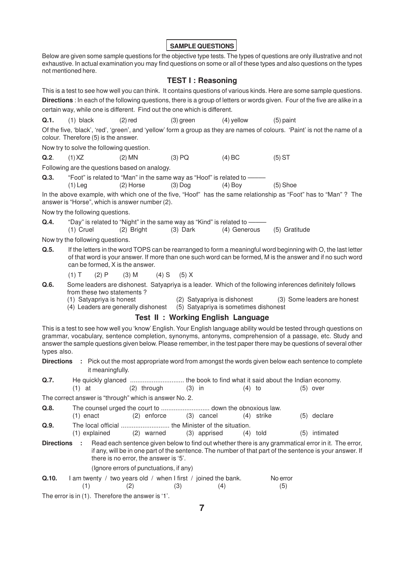**SAMPLE QUESTIONS**

Below are given some sample questions for the objective type tests. The types of questions are only illustrative and not exhaustive. In actual examination you may find questions on some or all of these types and also questions on the types not mentioned here.

#### **TEST I : Reasoning**

This is a test to see how well you can think. It contains questions of various kinds. Here are some sample questions. **Directions** : In each of the following questions, there is a group of letters or words given. Four of the five are alike in a certain way, while one is different. Find out the one which is different. **Q.1.** (1) black (2) red (3) green (4) yellow (5) paint Of the five, 'black', 'red', 'green', and 'yellow' form a group as they are names of colours. 'Paint' is not the name of a colour. Therefore (5) is the answer. Now try to solve the following question. **Q.2**. (1) XZ (2) MN (3) PQ (4) BC (5) ST Following are the questions based on analogy. **Q.3.** "Foot" is related to "Man" in the same way as "Hoof" is related to -(1) Leg (2) Horse (3) Dog (4) Boy (5) Shoe In the above example, with which one of the five, "Hoof" has the same relationship as "Foot" has to "Man" ? The answer is "Horse", which is answer number (2). Now try the following questions. **Q.4.** "Day" is related to "Night" in the same way as "Kind" is related to -(1) Cruel (2) Bright (3) Dark (4) Generous (5) Gratitude Now try the following questions. **Q.5.** If the letters in the word TOPS can be rearranged to form a meaningful word beginning with O, the last letter of that word is your answer. If more than one such word can be formed, M is the answer and if no such word can be formed, X is the answer. (1) T (2) P (3) M (4) S (5) X **Q.6.** Some leaders are dishonest. Satyapriya is a leader. Which of the following inferences definitely follows from these two statements ? (1) Satyapriya is honest (2) Satyapriya is dishonest (3) Some leaders are honest  $(5)$  Satyapriya is sometimes dishonest **Test II : Working English Language** This is a test to see how well you 'know' English. Your English language ability would be tested through questions on grammar, vocabulary, sentence completion, synonyms, antonyms, comprehension of a passage, etc. Study and answer the sample questions given below. Please remember, in the test paper there may be questions of several other types also. **Directions :** Pick out the most appropriate word from amongst the words given below each sentence to complete it meaningfully. **Q.7.** He quickly glanced .............................. the book to find what it said about the Indian economy. (1) at (2) through (3) in (4) to (5) over The correct answer is "through" which is answer No. 2. **Q.8.** The counsel urged the court to ........................... down the obnoxious law. (1) enact (2) enforce (3) cancel (4) strike (5) declare **Q.9.** The local official ........................... the Minister of the situation. (1) explained (2) warned (3) apprised (4) told (5) intimated **Directions :** Read each sentence given below to find out whether there is any grammatical error in it. The error, if any, will be in one part of the sentence. The number of that part of the sentence is your answer. If there is no error, the answer is '5'. (Ignore errors of punctuations, if any) **Q.10.** I am twenty / two years old / when I first / joined the bank. No error  $(1)$   $(2)$   $(3)$   $(4)$   $(5)$ 

The error is in (1). Therefore the answer is '1'.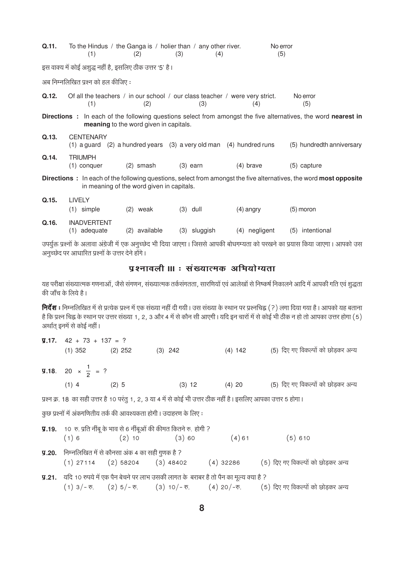| Q.11.                                                                                                                                                                         | (1)                                                      | (2)                                           | To the Hindus / the Ganga is / holier than / any other river.<br>(3)<br>(4) | No error<br>(5)                                                                    |                                                                                                                              |  |
|-------------------------------------------------------------------------------------------------------------------------------------------------------------------------------|----------------------------------------------------------|-----------------------------------------------|-----------------------------------------------------------------------------|------------------------------------------------------------------------------------|------------------------------------------------------------------------------------------------------------------------------|--|
|                                                                                                                                                                               | इस वाक्य में कोई अशुद्ध नहीं है, इसलिए ठीक उत्तर '5' है। |                                               |                                                                             |                                                                                    |                                                                                                                              |  |
|                                                                                                                                                                               | अब निम्नलिखित प्रश्न को हल कीजिए:                        |                                               |                                                                             |                                                                                    |                                                                                                                              |  |
| Q.12.                                                                                                                                                                         | (1)                                                      | (2)                                           | (3)                                                                         | Of all the teachers / in our school / our class teacher / were very strict.<br>(4) | No error<br>(5)                                                                                                              |  |
|                                                                                                                                                                               |                                                          | <b>meaning</b> to the word given in capitals. |                                                                             |                                                                                    | <b>Directions</b> : In each of the following questions select from amongst the five alternatives, the word <b>nearest in</b> |  |
| Q.13.                                                                                                                                                                         | <b>CENTENARY</b>                                         |                                               |                                                                             | $(1)$ a guard $(2)$ a hundred years $(3)$ a very old man $(4)$ hundred runs        | (5) hundredth anniversary                                                                                                    |  |
| Q.14.                                                                                                                                                                         | <b>TRIUMPH</b><br>(1) conquer                            | $(2)$ smash                                   | $(3)$ earn                                                                  | $(4)$ brave                                                                        | (5) capture                                                                                                                  |  |
| <b>Directions</b> : In each of the following questions, select from amongst the five alternatives, the word <b>most opposite</b><br>in meaning of the word given in capitals. |                                                          |                                               |                                                                             |                                                                                    |                                                                                                                              |  |
| Q.15.                                                                                                                                                                         | <b>LIVELY</b><br>$(1)$ simple                            | $(2)$ weak                                    | $(3)$ dull                                                                  | $(4)$ angry                                                                        | $(5)$ moron                                                                                                                  |  |
| Q.16.                                                                                                                                                                         | <b>INADVERTENT</b><br>(1) adequate                       | (2) available                                 | (3) sluggish                                                                | (4) negligent                                                                      | (5) intentional                                                                                                              |  |

उपर्युक्त प्रश्नों के अलावा अंग्रेजी में एक अनुच्छेद भी दिया जाएगा। जिससे आपकी बोधगम्यता को परखने का प्रयास किया जाएगा। आपको उस अनुच्छेद पर आधारित प्रश्नों के उत्तर देने होंगे।

# पृश्नावली ॥। : संख्यात्मक अभियोग्यता

यह परीक्षा संख्यात्मक गणनाओं, जैसे संगणन, संख्यात्मक तर्कसंगतता, सारणियों एवं आलेखों से निष्कर्ष निकालने आदि में आपकी गति एवं शद्धता की जाँच के लिये है।

**निर्देश :** निम्नलिखित में से प्रत्येक प्रश्न में एक संख्या नहीं दी गयी। उस संख्या के स्थान पर प्रश्नचिह्न (?) लगा दिया गया है। आपको यह बताना है कि प्रश्न चिह्न के स्थान पर उत्तर संख्या 1, 2, 3 और 4 में से कौन सी आएगी। यदि इन चारों में से कोई भी ठीक न हो तो आपका उत्तर होगा (5) अर्थात् इनमें से कोई नहीं।

| $\overline{y}$ .17. 42 + 73 + 137 = ?                       |                               |                                                                                                                 |                   |                                    |
|-------------------------------------------------------------|-------------------------------|-----------------------------------------------------------------------------------------------------------------|-------------------|------------------------------------|
|                                                             | $(1)$ 352 $(2)$ 252 $(3)$ 242 |                                                                                                                 | $(4)$ 142         | (5) दिए गए विकल्पों को छोड़कर अन्य |
| <b>9.18.</b> 20 $\times \frac{1}{2}$ = ?                    |                               |                                                                                                                 |                   |                                    |
| $(1)$ 4 $(2)$ 5                                             |                               |                                                                                                                 | $(3)$ 12 $(4)$ 20 | (5) दिए गए विकल्पों को छोड़कर अन्य |
|                                                             |                               | प्रश्न क्र. 18  का सही उत्तर है 10 परंतु 1, 2, 3 या 4 में से कोई भी उत्तर ठीक नहीं है। इसलिए आपका उत्तर 5 होगा। |                   |                                    |
|                                                             |                               | कुछ प्रश्नों में अंकगणितीय तर्क की आवश्यकता होगी। उदाहरण के लिए:                                                |                   |                                    |
|                                                             |                               | <b>y.19.</b> 10 रु. प्रति नींबू के भाव से 6 नींबूओं की कीमत कितने रु. होगी ?                                    |                   |                                    |
|                                                             | $(1) 6$ $(2) 10$ $(3) 60$     |                                                                                                                 |                   | $(4)61$ $(5)610$                   |
| <b>y.20.</b> निम्नलिखित में से कौनसा अंक 4 का सही गुणक है ? |                               |                                                                                                                 |                   |                                    |

- $(1)$  27114  $(2)$  58204  $(3)$  48402  $(4)$  32286 (5) दिए गए विकल्पों को छोड़कर अन्य
- **प्र.21.** यदि 10 रुपये में एक पैन बेचने पर लाभ उसकी लागत के बराबर है तो पैन का मूल्य क्या है ? (5) दिए गए विकल्पों को छोड़कर अन्य  $(1)$  3/- $\overline{\mathcal{D}}$ .  $(2) 5/ - \overline{x}$ .  $(3) 10/- \overline{v}$ .  $(4)$  20/- $\overline{v}$ .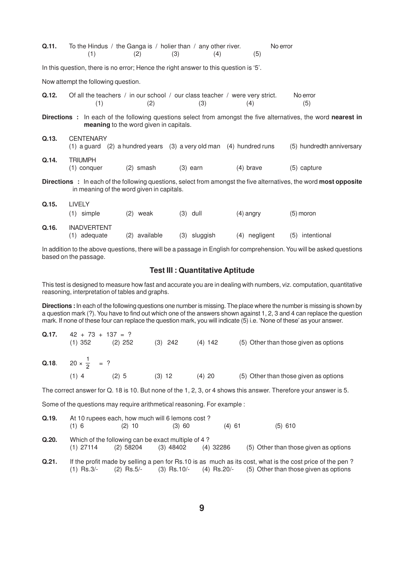| Q.11.                                                                                                                                                                         | To the Hindus / the Ganga is / holier than / any other river.<br>(1)                 | (2)                                                           |             | (3)        | (4)  |             | No error<br>(5) |                                                                                                                              |
|-------------------------------------------------------------------------------------------------------------------------------------------------------------------------------|--------------------------------------------------------------------------------------|---------------------------------------------------------------|-------------|------------|------|-------------|-----------------|------------------------------------------------------------------------------------------------------------------------------|
|                                                                                                                                                                               | In this question, there is no error; Hence the right answer to this question is '5'. |                                                               |             |            |      |             |                 |                                                                                                                              |
|                                                                                                                                                                               | Now attempt the following question.                                                  |                                                               |             |            |      |             |                 |                                                                                                                              |
| Q.12.                                                                                                                                                                         | Of all the teachers / in our school / our class teacher / were very strict.<br>(1)   |                                                               | (2)         |            | (3)  | (4)         |                 | No error<br>(5)                                                                                                              |
|                                                                                                                                                                               |                                                                                      | meaning to the word given in capitals.                        |             |            |      |             |                 | <b>Directions</b> : In each of the following questions select from amongst the five alternatives, the word <b>nearest in</b> |
| Q.13.                                                                                                                                                                         | <b>CENTENARY</b><br>$(1)$ a guard                                                    | $(2)$ a hundred years $(3)$ a very old man $(4)$ hundred runs |             |            |      |             |                 | (5) hundredth anniversary                                                                                                    |
| Q.14.                                                                                                                                                                         | <b>TRIUMPH</b><br>$(1)$ conquer                                                      |                                                               | $(2)$ smash | $(3)$ earn |      | $(4)$ brave |                 | (5) capture                                                                                                                  |
| <b>Directions</b> : In each of the following questions, select from amongst the five alternatives, the word <b>most opposite</b><br>in meaning of the word given in capitals. |                                                                                      |                                                               |             |            |      |             |                 |                                                                                                                              |
| Q.15.                                                                                                                                                                         | <b>LIVELY</b><br>$(1)$ simple                                                        | (2)                                                           | weak        | (3)        | dull | $(4)$ angry |                 | $(5)$ moron                                                                                                                  |
| Q.16.                                                                                                                                                                         | <b>INADVERTENT</b>                                                                   |                                                               |             |            |      |             |                 |                                                                                                                              |

(1) adequate (2) available (3) sluggish (4) negligent (5) intentional

In addition to the above questions, there will be a passage in English for comprehension. You will be asked questions based on the passage.

#### **Test III : Quantitative Aptitude**

This test is designed to measure how fast and accurate you are in dealing with numbers, viz. computation, quantitative reasoning, interpretation of tables and graphs.

**Directions :** In each of the following questions one number is missing. The place where the number is missing is shown by a question mark (?). You have to find out which one of the answers shown against 1, 2, 3 and 4 can replace the question mark. If none of these four can replace the question mark, you will indicate (5) i.e. 'None of these' as your answer.

| Q.17. | $42 + 73 + 137 = ?$<br>$(1)$ 352  | $(2)$ 252 | $(3)$ 242 | $(4)$ 142 | (5) Other than those given as options |
|-------|-----------------------------------|-----------|-----------|-----------|---------------------------------------|
|       | Q.18. $20 \times \frac{1}{2}$ = ? |           |           |           |                                       |
|       | $(1)$ 4                           | $(2)$ 5   | $(3)$ 12  | $(4)$ 20  | (5) Other than those given as options |

The correct answer for Q. 18 is 10. But none of the 1, 2, 3, or 4 shows this answer. Therefore your answer is 5.

Some of the questions may require arithmetical reasoning. For example :

- **Q.19.** At 10 rupees each, how much will 6 lemons cost ? (1) 6 (2) 10 (3) 60 (4) 61 (5) 610
- **Q.20.** Which of the following can be exact multiple of 4 ?<br>(1) 27114 (2) 58204 (3) 48402 (4) 32286 (5) Other than those given as options
- **Q.21.** If the profit made by selling a pen for Rs.10 is as much as its cost, what is the cost price of the pen ?<br>(1) Rs.3/- (2) Rs.5/- (3) Rs.10/- (4) Rs.20/- (5) Other than those given as options (3)  $\text{Rs.10/}-$  (4)  $\text{Rs.20/}-$  (5) Other than those given as options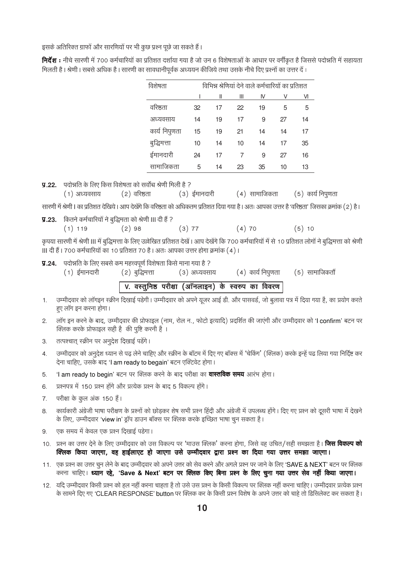इसके अतिरिक्त ग्राफों और सारणियों पर भी कुछ प्रश्न पूछे जा सकते हैं।

निर्देश : नीचे सारणी में 700 कर्मचारियों का प्रतिशत दर्शाया गया है जो उन 6 विशेषताओं के आधार पर वर्गीकृत है जिससे पदोन्नति में सहायता मिलती है। श्रेणी। सबसे अधिक है। सारणी का सावधानीपूर्वक अध्ययन कीजिये तथा उसके नीचे दिए प्रश्नों का उत्तर दें :

| विशेषता       |    | विभिन्न श्रेणियां देने वाले कर्मचारियों का प्रतिशत |    |    |    |    |  |
|---------------|----|----------------------------------------------------|----|----|----|----|--|
|               |    | $\mathsf{I}$                                       | Ш  | IV | V  | VI |  |
| वरिष्ठता      | 32 | 17                                                 | 22 | 19 | 5  | 5  |  |
| अध्यवसाय      | 14 | 19                                                 | 17 | 9  | 27 | 14 |  |
| कार्य निपुणता | 15 | 19                                                 | 21 | 14 | 14 | 17 |  |
| बुद्धिमत्ता   | 10 | 14                                                 | 10 | 14 | 17 | 35 |  |
| ईमानदारी      | 24 | 17                                                 | 7  | 9  | 27 | 16 |  |
| सामाजिकता     | 5  | 14                                                 | 23 | 35 | 10 | 13 |  |

(5) कार्य निपुणता

**प्र.22.** पदोन्नति के लिए किस विशेषता को सर्वोच्च श्रेणी मिली है ?

| अध्यवसाय | (2) वरिष्ठता | (3) ईमानदारी | (4) सामाजिकता |
|----------|--------------|--------------|---------------|

सारणी में श्रेणी। का प्रतिशत देखिये। आप देखेंगे कि वरिष्ठता को अधिकतम प्रतिशत दिया गया है। अतः आपका उत्तर है 'वरिष्ठता' जिसका क्रमांक (2) है।

**प्र.23.** कितने कर्मचारियों ने बद्धिमता को श्रेणी III दी हैं ?

 $(1)$ 

 $(3) 77$  $(4)70$  $(5)10$  $(1)$  119  $(2)98$ 

कृपया सारणी में श्रेणी III में बुद्धिमत्ता के लिए उल्लेखित प्रतिशत देखें। आप देखेंगे कि 700 कर्मचारियों में से 10 प्रतिशत लोगों ने बुद्धिमत्ता को श्रेणी ॥ दी हैं। 700 कर्मचारियों का 10 प्रतिशत 70 है। अतः आपका उत्तर होगा क्रमांक (4)।

### **y.24.** पदोन्नति के लिए सबसे कम महत्त्वपूर्ण विशेषता किसे माना गया है ?

| (1) ईमानदारी | (२) बुद्धिमत्ता |                                                             | (३) अध्यवसाय           (४)  कार्य निपुणता       (५)  सामाजिकतौं |  |
|--------------|-----------------|-------------------------------------------------------------|-----------------------------------------------------------------|--|
|              |                 | $\sqrt{V}$ . वस्तुनिष्ठ परीक्षा (ऑनलाइन) के स्वरुप का विवरण |                                                                 |  |

- उम्मीदवार को लॉगइन स्क्रीन दिखाई पडेगी। उम्मीदवार को अपने यूजर आई डी. और पासवर्ड, जो बुलावा पत्र में दिया गया है, का प्रयोग करते  $1.$ हए लॉग इन करना होगा।
- लॉग इन करने के बाद, उम्मीदवार की प्रोफाइल (नाम, रोल न., फोटो इत्यादि) प्रदर्शित की जाएंगी और उम्मीदवार को 'I confirm' बटन पर  $2.$ क्लिक करके प्रोफाइल सही है की पृष्टि करनी है ।
- तत्पश्चात् स्क्रीन पर अनुदेश दिखाई पडेंगे। 3.
- उम्मीदवार को अनुदेश ध्यान से पढ़ लेने चाहिए और स्क्रीन के बॉटम में दिए गए बॉक्स में 'चेकिंग' (क्लिक) करके इन्हें पढ लिया गया निर्दिष्ट कर  $4.$ देना चाहिए, उसके बाद 'I am ready to begain' बटन एक्टिवेट होगा।
- 'I am ready to begin' बटन पर क्लिक करने के बाद परीक्षा का **वास्तविक समय** आरंभ होगा।  $5<sub>1</sub>$
- प्रश्नपत्र में 150 प्रश्न होंगे और प्रत्येक प्रश्न के बाद 5 विकल्प होंगे। 6.
- परीक्षा के कुल अंक 150 है। 7.
- कार्यकारी अंग्रेजी भाषा परीक्षण के प्रश्नों को छोड़कर शेष सभी प्रश्न हिंदी और अंग्रेजी में उपलब्ध होंगे। दिए गए प्रश्न को दूसरी भाषा में देखने 8. के लिए, उम्मीदवार 'view in' ड्रॉप डाउन बॉक्स पर क्लिक करके इच्छित भाषा चून सकता है।
- एक समय में केवल एक प्रश्न दिखाई पड़ेगा।  $9<sub>1</sub>$
- 10. प्रश्न का उत्तर देने के लिए उम्मीदवार को उस विकल्प पर 'माउस क्लिक' करना होगा, जिसे वह उचित/सही समझता है। **जिस विकल्प को** क्लिक किया जाएगा, वह हाईलाएट हो जाएगा उसे उम्मीदवार द्वारा प्रश्न का दिया गया उत्तर समझा जाएगा।
- 11. एक प्रश्न का उत्तर चून लेने के बाद उम्मीदवार को अपने उत्तर को सेव करने और अगले प्रश्न पर जाने के लिए 'SAVE & NEXT' बटन पर क्लिक करना चाहिए। ध्यान रहे, 'Save & Next' बटन पर क्लिक किए बिना प्रश्न के लिए चूना गया उत्तर सेव नहीं किया जाएगा।
- 12. यदि उम्मीदवार किसी प्रश्न को हल नहीं करना चाहता है तो उसे उस प्रश्न के किसी विकल्प पर क्लिक नहीं करना चाहिए। उम्मीदवार प्रत्येक प्रश्न के सामने दिए गए 'CLEAR RESPONSE' button पर क्लिक कर के किसी प्रश्न विशेष के अपने उत्तर को चाहे तो डिसिलेक्ट कर सकता है।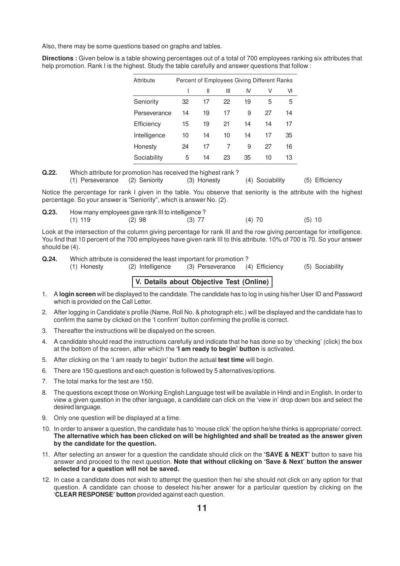Also, there may be some questions based on graphs and tables.

**Directions :** Given below is a table showing percentages out of a total of 700 employees ranking six attributes that help promotion. Rank I is the highest. Study the table carefully and answer questions that follow:

| Attribute    | Percent of Employees Giving Different Ranks |    |    |    |    |    |
|--------------|---------------------------------------------|----|----|----|----|----|
|              |                                             | Ш  | Ш  | N  | V  | VI |
| Seniority    | 32                                          | 17 | 22 | 19 | 5  | 5  |
| Perseverance | 14                                          | 19 | 17 | 9  | 27 | 14 |
| Efficiency   | 15                                          | 19 | 21 | 14 | 14 | 17 |
| Intelligence | 10                                          | 14 | 10 | 14 | 17 | 35 |
| Honesty      | 24                                          | 17 | 7  | 9  | 27 | 16 |
| Sociability  | 5                                           | 14 | 23 | 35 | 10 | 13 |

**Q.22.** Which attribute for promotion has received the highest rank ?

(1) Perseverance (2) Seniority (3) Honesty (4) Sociability (5) Efficiency

Notice the percentage for rank I given in the table. You observe that seniority is the attribute with the highest percentage. So your answer is "Seniority", which is answer No. (2).

**Q.23.** How many employees gave rank III to intelligence ? (1) 119 (2) 98 (3) 77 (4) 70 (5) 10

Look at the intersection of the column giving percentage for rank III and the row giving percentage for intelligence. You find that 10 percent of the 700 employees have given rank III to this attribute. 10% of 700 is 70. So your answer should be (4).

**Q.24.** Which attribute is considered the least important for promotion ?

(1) Honesty (2) Intelligence (3) Perseverance (4) Efficiency (5) Sociability

#### **V. Details about Objective Test (Online)**

- 1. A **login screen** will be displayed to the candidate. The candidate has to log in using his/her User ID and Password which is provided on the Call Letter.
- 2. After logging in Candidate's profile (Name, Roll No. & photograph etc.) will be displayed and the candidate has to confirm the same by clicked on the 'I confirm' button confirming the profile is correct.
- 3. Thereafter the instructions will be dispalyed on the screen.
- 4. A candidate should read the instructions carefully and indicate that he has done so by 'checking' (click) the box at the bottom of the screen, after which the **'I am ready to begin' button** is activated.
- 5. After clicking on the 'I am ready to begin' button the actual **test time** will begin.
- 6. There are 150 questions and each question is followed by 5 alternatives/options.
- 7. The total marks for the test are 150.
- 8. The questions except those on Working English Language test will be available in Hindi and in English. In order to view a given question in the other language, a candidate can click on the 'view in' drop down box and select the desired language.
- 9. Only one question will be displayed at a time.
- 10. In order to answer a question, the candidate has to 'mouse click' the option he/she thinks is appropriate/ correct. **The alternative which has been clicked on will be highlighted and shall be treated as the answer given by the candidate for the question.**
- 11. After selecting an answer for a question the candidate should click on the **'SAVE & NEXT'** button to save his answer and proceed to the next question. **Note that without clicking on 'Save & Next' button the answer selected for a question will not be saved.**
- 12. In case a candidate does not wish to attempt the question then he/ she should not click on any option for that question. A candidate can choose to deselect his/her answer for a particular question by clicking on the '**CLEAR RESPONSE' button** provided against each question.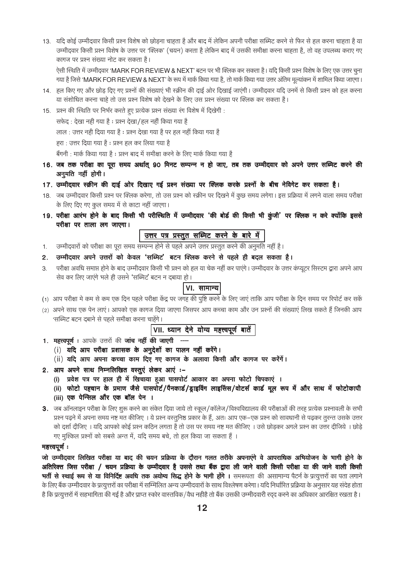13. ) यदि कोई उम्मीदवार किसी प्रश्न विशेष को छोडना चाहता है और बाद में लेकिन अपनी परीक्षा सब्मिट करने से फिर से हल करना चाहता है या उम्मीदवार किसी प्रश्न विशेष के उत्तर पर 'क्लिक' (चयन) करता है लेकिन बाद में उसकी समीक्षा करना चाहता है, तो वह उपलब्ध कराए गए कागज पर प्रश्न संख्या नोट कर सकता है।

ऐसी स्थिति में उम्मीदवार 'MARK FOR REVIEW & NEXT' बटन पर भी क्लिक कर सकता है। यदि किसी प्रश्न विशेष के लिए एक उत्तर चुना गया है जिसे 'MARK FOR REVIEW & NEXT' के रूप में मार्क किया गया है, तो मार्क किया गया उत्तर अंतिम मूल्यांकन में शामिल किया जाएगा।

- 14. हल किए गए और छोड़ दिए गए प्रश्नों की संख्याएं भी स्क्रीन की दाई ओर दिखाई जाएंगी। उम्मीदवार यदि उनमें से किसी प्रश्न को हल करना या संशोधित करना चाहे तो उस प्रश्न विशेष को देखने के लिए उस प्रश्न संख्या पर क्लिक कर सकता है।
- 15. प्रश्न की स्थिति पर निर्भर करते हुए प्रत्येक प्रश्न संख्या रंग विशेष में दिखेगी :

सफेद: देखा नही गया है: प्रश्न देखा/हल नहीं किया गया है

लाल: उत्तर नही दिया गया है: प्रश्न देखा गया है पर हल नहीं किया गया है

हरा : उत्तर दिया गया है : प्रश्न हल कर लिया गया है

बैंगनी : मार्क किया गया है : प्रश्न बाद में समीक्षा करने के लिए मार्क किया गया है

- 16. जब तक परीक्षा का पूरा समय अर्थात् 90 मिनट सम्पन्न न हो जाए, तब तक उम्मीदवार को अपने उत्तर सब्मिट करने की अनमति नहीं होगी।
- 17. उम्मीदवार स्क्रीन की दाई ओर दिखाए गई प्रश्न संख्या पर क्लिक करके प्रश्नों के बीच नेविगेट कर सकता है।
- 18. जब उम्मीदवार किसी प्रश्न पर क्लिक करेगा, तो उस प्रश्न को स्क्रीन पर दिखने में कुछ समय लगेगा। इस प्रक्रिया में लगने वाला समय परीक्षा के लिए दिए गए कुल समय में से काटा नहीं जाएगा।
- 19. परीक्षा आरंभ होने के बाद किसी भी परीस्थिति में उम्मीदवार 'की बोर्ड की किसी भी कुंजी' पर क्लिक न करे क्योंकि इससे परीक्षा पर ताला लग जाएगा।

- उम्मीदवारों को परीक्षा का पूरा समय सम्पन्न होने से पहले अपने उत्तर प्रस्तुत करने की अनुमति नहीं है।  $1.$
- उम्मीदवार अपने उत्तरों को केवल 'सब्मिट' बटन क्लिक करने से पहले ही बदल सकता है।  $2.$
- परीक्षा अवधि समाप्त होने के बाद उम्मीदवार किसी भी प्रश्न को हल या चेक नहीं कर पाएंगे। उम्मीदवार के उत्तर कंप्यूटर सिस्टम द्वारा अपने आप  $3<sub>1</sub>$ सेव कर लिए जाएंगे भले ही उसने 'सब्मिट' बटन न दबाया हो।

### VI. सामान्य

- (1) आप परीक्षा मे कम से कम एक दिन पहले परीक्षा केंद्र पर जगह की पृष्टि करने के लिए जाएं ताकि आप परीक्षा के दिन समय पर रिपोर्ट कर सके
- (2) अपने साथ एक पेन लाए। आपको एक कागज दिया जाएगा जिसपर आप कच्चा काम और उन प्रश्नों की संख्याएं लिख सकते हैं जिनकी आप 'सब्मिट' बटन दबाने से पहले समीक्षा करना चाहेंगे।

VII. ध्यान देने योग्य महत्त्वपूर्ण बातें

- 1. महत्त्वपूर्ण : आपके उत्तरों की जांच नहीं की जाएगी ---
	- (i) यदि आप परीक्षा प्रशासक के अनुदेशों का पालन नहीं करेंगे।
	- (ii) यदि आप अपना कच्चा काम दिए गए कागज के अलावा किसी और कागज पर करेंगें।
- 2. आप अपने साथ निम्नलिखित वस्तुएं लेकर आएं :-
	- (i) प्रवेश पत्र पर हाल ही में खिचाया हुआ पासपोर्ट आकार का अपना फोटो चिपकाएं ।
	- (ii) फोटो पहचान के प्रमाण जैसे पासपोर्ट/पैनकार्ड/ड्राइविंग लाइसिंस/वोटर्स कार्ड मूल रूप में और साथ में फोटोकापी
	- (iii) एक पेन्सिल और एक बॉल पेन ।
- 3. जब ऑनलाइन परीक्षा के लिए शरू करने का संकेत दिया जाये तो स्कल/कॉलेज/विश्वविद्यालय की परीक्षाओं की तरह प्रत्येक प्रश्नावली के सभी प्रश्न पढ़ने में अपना समय नष्ट मत कीजिए । ये प्रश्न वस्तुनिष्ठ प्रकार के हैं, अतः आप एक–एक प्रश्न को सावधानी से पढ़कर तुरन्त उसके उत्तर को दर्शा दीजिए । यदि आपको कोई प्रश्न कठिन लगता है तो उस पर समय नष्ट मत कीजिए । उसे छोड़कर अगले प्रश्न का उत्तर दीजिये । छोड़े गए मुश्किल प्रश्नों को सबसे अन्त में, यदि समय बचे, तो हल किया जा सकता हैं।

#### महत्त्वपर्णः

जो उम्मीदवार लिखित परीक्षा या बाद की चयन प्रक्रिया के दौरान गलत तरीके अपनाएंगे वे आपराधिक अभियोजन के भागी होने के अतिरिक्त जिस परीक्षा / चयन प्रक्रिया के उम्मीदवार है उससे तथा बैंक द्वारा ली जाने वाली किसी परीक्षा या की जाने वाली किसी भर्ती से स्थाई रूप से या विनिर्दिष्ट अवधि तक अयोग्य सिद्ध होने के भागी होंगे । समरूपता की असामान्य पैटर्न के प्रत्युत्तरों का पता लगाने के लिए बैंक उम्मीदवार के प्रत्युत्तरों का परीक्षा में सम्मिलित अन्य उम्मीदवारों के साथ विश्लेषण करेगा । यदि निर्धारित प्रक्रिया के अनुसार यह संदेह होता है कि प्रत्यूत्तरों में सहभागिता की गई है और प्राप्त स्कोर वास्तविक/वैध नहीहै तो बैंक उसकी उम्मीदवारी रदद करने का अधिकार आरक्षित रखता है।